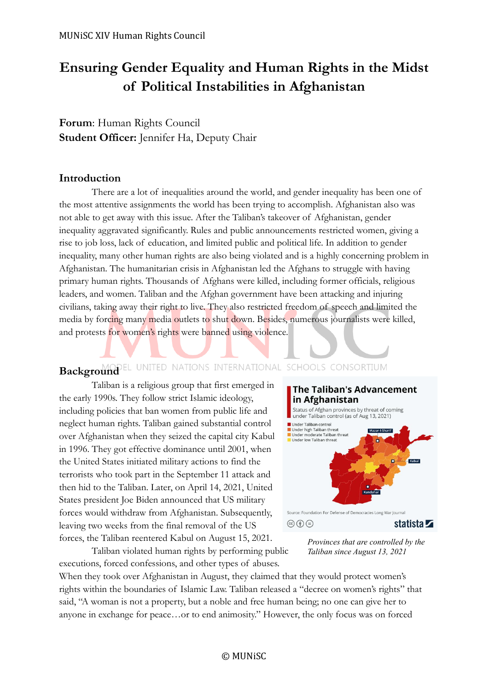# **Ensuring Gender Equality and Human Rights in the Midst of Political Instabilities in Afghanistan**

**Forum**: Human Rights Council **Student Officer:** Jennifer Ha, Deputy Chair

### **Introduction**

There are a lot of inequalities around the world, and gender inequality has been one of the most attentive assignments the world has been trying to accomplish. Afghanistan also was not able to get away with this issue. After the Taliban's takeover of Afghanistan, gender inequality aggravated significantly. Rules and public announcements restricted women, giving a rise to job loss, lack of education, and limited public and political life. In addition to gender inequality, many other human rights are also being violated and is a highly concerning problem in Afghanistan. The humanitarian crisis in Afghanistan led the Afghans to struggle with having primary human rights. Thousands of Afghans were killed, including former officials, religious leaders, and women. Taliban and the Afghan government have been attacking and injuring civilians, taking away their right to live. They also restricted freedom of speech and limited the media by forcing many media outlets to shut down. Besides, numerous journalists were killed, and protests for women's rights were banned using violence.

# **Background** EL UNITED NATIONS INTERNATIONAL SCHOOLS CONSORTIUM

Taliban is a religious group that first emerged in the early 1990s. They follow strict Islamic ideology, including policies that ban women from public life and neglect human rights. Taliban gained substantial control over Afghanistan when they seized the capital city Kabul in 1996. They got effective dominance until 2001, when the United States initiated military actions to find the terrorists who took part in the September 11 attack and then hid to the Taliban. Later, on April 14, 2021, United States president Joe Biden announced that US military forces would withdraw from Afghanistan. Subsequently, leaving two weeks from the final removal of the US forces, the Taliban reentered Kabul on August 15, 2021.



*Provinces that are controlled by the Taliban since August 13, 2021* 

Taliban violated human rights by performing public executions, forced confessions, and other types of abuses.

When they took over Afghanistan in August, they claimed that they would protect women's rights within the boundaries of Islamic Law. Taliban released a "decree on women's rights" that said, "A woman is not a property, but a noble and free human being; no one can give her to anyone in exchange for peace…or to end animosity." However, the only focus was on forced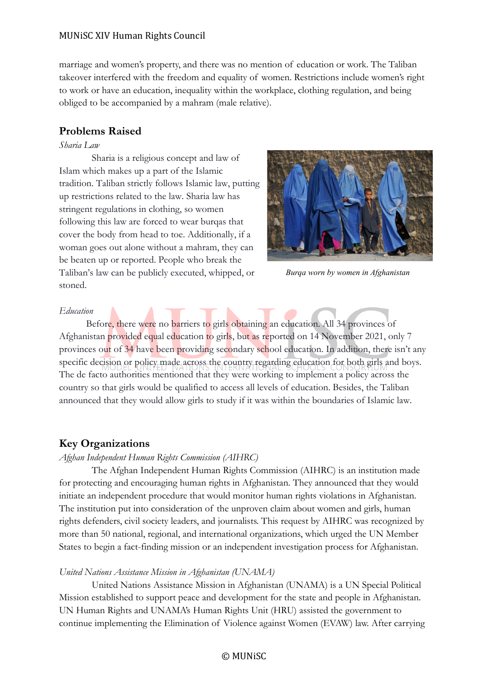#### MUNiSC XIV Human Rights Council

marriage and women's property, and there was no mention of education or work. The Taliban takeover interfered with the freedom and equality of women. Restrictions include women's right to work or have an education, inequality within the workplace, clothing regulation, and being obliged to be accompanied by a mahram (male relative).

# **Problems Raised**

#### *Sharia Law*

Sharia is a religious concept and law of Islam which makes up a part of the Islamic tradition. Taliban strictly follows Islamic law, putting up restrictions related to the law. Sharia law has stringent regulations in clothing, so women following this law are forced to wear burqas that cover the body from head to toe. Additionally, if a woman goes out alone without a mahram, they can be beaten up or reported. People who break the Taliban's law can be publicly executed, whipped, or stoned.



*Burqa worn by women in Afghanistan*

#### *Education*

Before, there were no barriers to girls obtaining an education. All 34 provinces of Afghanistan provided equal education to girls, but as reported on 14 November 2021, only 7 provinces out of 34 have been providing secondary school education. In addition, there isn't any specific decision or policy made across the country regarding education for both girls and boys. The de facto authorities mentioned that they were working to implement a policy across the country so that girls would be qualified to access all levels of education. Besides, the Taliban announced that they would allow girls to study if it was within the boundaries of Islamic law.

# **Key Organizations**

#### *Afghan Independent Human Rights Commission (AIHRC)*

The Afghan Independent Human Rights Commission (AIHRC) is an institution made for protecting and encouraging human rights in Afghanistan. They announced that they would initiate an independent procedure that would monitor human rights violations in Afghanistan. The institution put into consideration of the unproven claim about women and girls, human rights defenders, civil society leaders, and journalists. This request by AIHRC was recognized by more than 50 national, regional, and international organizations, which urged the UN Member States to begin a fact-finding mission or an independent investigation process for Afghanistan.

#### *United Nations Assistance Mission in Afghanistan (UNAMA)*

United Nations Assistance Mission in Afghanistan (UNAMA) is a UN Special Political Mission established to support peace and development for the state and people in Afghanistan. UN Human Rights and UNAMA's Human Rights Unit (HRU) assisted the government to continue implementing the Elimination of Violence against Women (EVAW) law. After carrying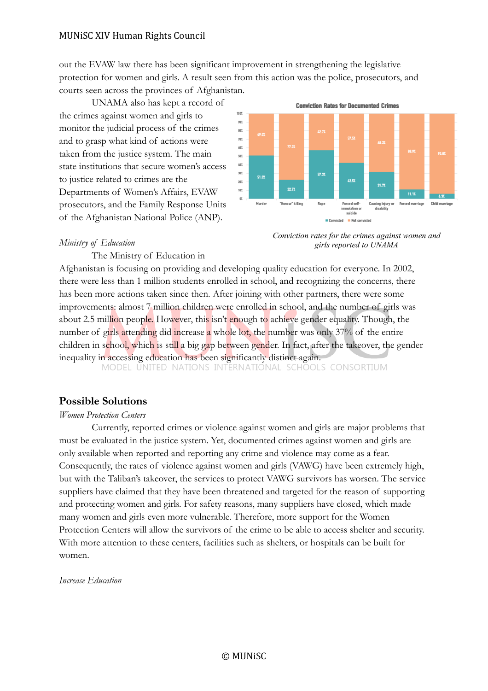#### MUNiSC XIV Human Rights Council

out the EVAW law there has been significant improvement in strengthening the legislative protection for women and girls. A result seen from this action was the police, prosecutors, and courts seen across the provinces of Afghanistan.

UNAMA also has kept a record of the crimes against women and girls to monitor the judicial process of the crimes and to grasp what kind of actions were taken from the justice system. The main state institutions that secure women's access to justice related to crimes are the Departments of Women's Affairs, EVAW prosecutors, and the Family Response Units of the Afghanistan National Police (ANP).



*Conviction rates for the crimes against women and girls reported to UNAMA*

#### *Ministry of Education*

The Ministry of Education in

Afghanistan is focusing on providing and developing quality education for everyone. In 2002, there were less than 1 million students enrolled in school, and recognizing the concerns, there has been more actions taken since then. After joining with other partners, there were some improvements: almost 7 million children were enrolled in school, and the number of girls was about 2.5 million people. However, this isn't enough to achieve gender equality. Though, the number of girls attending did increase a whole lot, the number was only 37% of the entire children in school, which is still a big gap between gender. In fact, after the takeover, the gender inequality in accessing education has been significantly distinct again.<br>MODEL UNITED NATIONS INTERNATIONAL SCHOOLS CONSORTIUM

#### **Possible Solutions**

#### *Women Protection Centers*

Currently, reported crimes or violence against women and girls are major problems that must be evaluated in the justice system. Yet, documented crimes against women and girls are only available when reported and reporting any crime and violence may come as a fear. Consequently, the rates of violence against women and girls (VAWG) have been extremely high, but with the Taliban's takeover, the services to protect VAWG survivors has worsen. The service suppliers have claimed that they have been threatened and targeted for the reason of supporting and protecting women and girls. For safety reasons, many suppliers have closed, which made many women and girls even more vulnerable. Therefore, more support for the Women Protection Centers will allow the survivors of the crime to be able to access shelter and security. With more attention to these centers, facilities such as shelters, or hospitals can be built for women.

*Increase Education*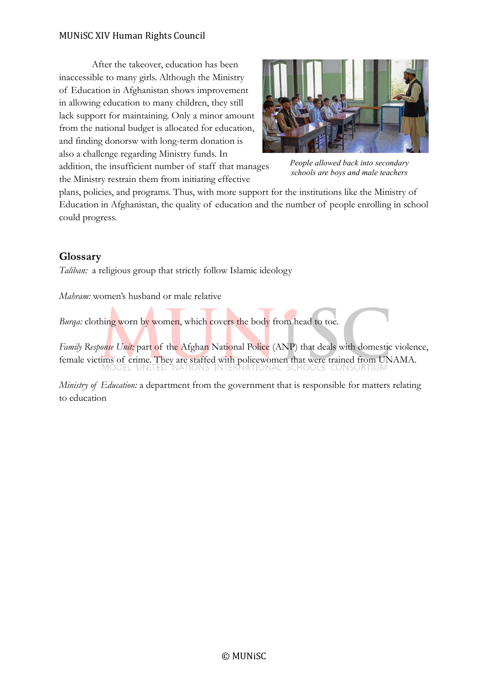## MUNiSC XIV Human Rights Council

After the takeover, education has been inaccessible to many girls. Although the Ministry of Education in Afghanistan shows improvement in allowing education to many children, they still lack support for maintaining. Only a minor amount from the national budget is allocated for education, and finding donorsw with long-term donation is also a challenge regarding Ministry funds. In addition, the insufficient number of staff that manages the Ministry restrain them from initiating effective



*People allowed back into secondary schools are boys and male teachers*

plans, policies, and programs. Thus, with more support for the institutions like the Ministry of Education in Afghanistan, the quality of education and the number of people enrolling in school could progress.

# **Glossary**

*Taliban:* a religious group that strictly follow Islamic ideology

*Mahram:* women's husband or male relative

*Burqa*: clothing worn by women, which covers the body from head to toe.

*Family Response Unit:* part of the Afghan National Police (ANP) that deals with domestic violence, female victims of crime. They are staffed with policewomen that were trained from UNAMA.

*Ministry of Education:* a department from the government that is responsible for matters relating to education